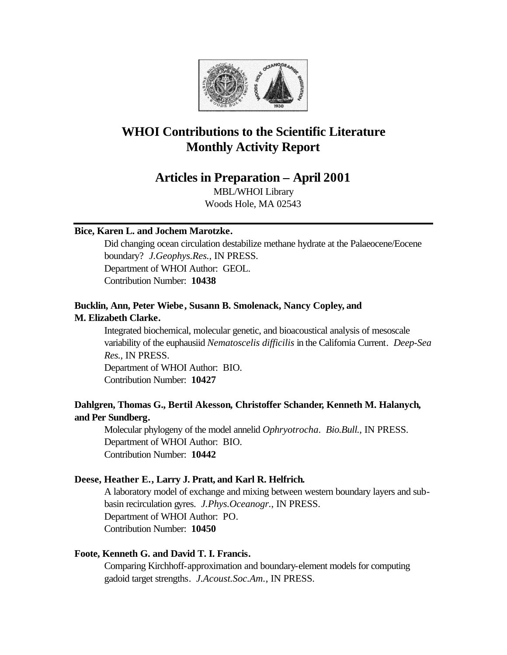

# **WHOI Contributions to the Scientific Literature Monthly Activity Report**

# **Articles in Preparation – April 2001**

MBL/WHOI Library Woods Hole, MA 02543

# **Bice, Karen L. and Jochem Marotzke.**

Did changing ocean circulation destabilize methane hydrate at the Palaeocene/Eocene boundary? *J.Geophys.Res.*, IN PRESS. Department of WHOI Author: GEOL. Contribution Number: **10438**

# **Bucklin, Ann, Peter Wiebe, Susann B. Smolenack, Nancy Copley, and M. Elizabeth Clarke.**

Integrated biochemical, molecular genetic, and bioacoustical analysis of mesoscale variability of the euphausiid *Nematoscelis difficilis* in the California Current. *Deep-Sea Res.*, IN PRESS. Department of WHOI Author: BIO.

Contribution Number: **10427**

# **Dahlgren, Thomas G., Bertil Akesson, Christoffer Schander, Kenneth M. Halanych, and Per Sundberg.**

Molecular phylogeny of the model annelid *Ophryotrocha*. *Bio.Bull.*, IN PRESS. Department of WHOI Author: BIO. Contribution Number: **10442**

# **Deese, Heather E., Larry J. Pratt, and Karl R. Helfrich.**

A laboratory model of exchange and mixing between western boundary layers and subbasin recirculation gyres. *J.Phys.Oceanogr.*, IN PRESS. Department of WHOI Author: PO. Contribution Number: **10450**

# **Foote, Kenneth G. and David T. I. Francis.**

Comparing Kirchhoff-approximation and boundary-element models for computing gadoid target strengths. *J.Acoust.Soc.Am.*, IN PRESS.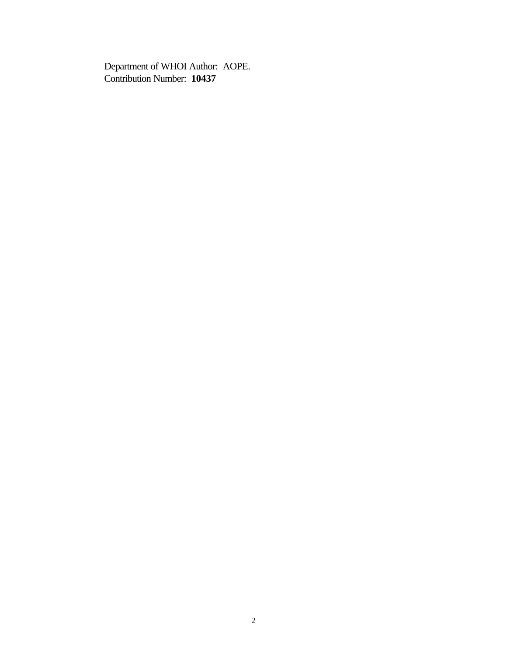Department of WHOI Author: AOPE. Contribution Number: **10437**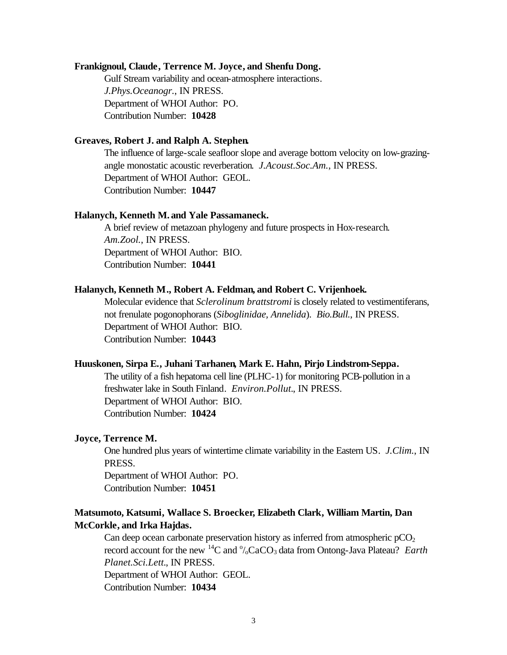#### **Frankignoul, Claude, Terrence M. Joyce, and Shenfu Dong.**

Gulf Stream variability and ocean-atmosphere interactions. *J.Phys.Oceanogr.*, IN PRESS. Department of WHOI Author: PO. Contribution Number: **10428**

## **Greaves, Robert J. and Ralph A. Stephen.**

The influence of large-scale seafloor slope and average bottom velocity on low-grazingangle monostatic acoustic reverberation. *J.Acoust.Soc.Am.*, IN PRESS. Department of WHOI Author: GEOL. Contribution Number: **10447**

### **Halanych, Kenneth M. and Yale Passamaneck.**

A brief review of metazoan phylogeny and future prospects in Hox-research. *Am.Zool.*, IN PRESS. Department of WHOI Author: BIO. Contribution Number: **10441**

#### **Halanych, Kenneth M., Robert A. Feldman, and Robert C. Vrijenhoek.**

Molecular evidence that *Sclerolinum brattstromi* is closely related to vestimentiferans, not frenulate pogonophorans (*Siboglinidae, Annelida*). *Bio.Bull.*, IN PRESS. Department of WHOI Author: BIO. Contribution Number: **10443**

#### **Huuskonen, Sirpa E., Juhani Tarhanen, Mark E. Hahn, Pirjo Lindstrom-Seppa.**

The utility of a fish hepatoma cell line (PLHC-1) for monitoring PCB-pollution in a freshwater lake in South Finland. *Environ.Pollut.*, IN PRESS. Department of WHOI Author: BIO. Contribution Number: **10424**

#### **Joyce, Terrence M.**

One hundred plus years of wintertime climate variability in the Eastern US. *J.Clim.*, IN PRESS.

Department of WHOI Author: PO. Contribution Number: **10451**

# **Matsumoto, Katsumi, Wallace S. Broecker, Elizabeth Clark, William Martin, Dan McCorkle, and Irka Hajdas.**

Can deep ocean carbonate preservation history as inferred from atmospheric  $pCO<sub>2</sub>$ record account for the new  $^{14}C$  and  $^{0}$ <sub>/0</sub>CaCO<sub>3</sub> data from Ontong-Java Plateau? *Earth Planet.Sci.Lett.*, IN PRESS.

Department of WHOI Author: GEOL. Contribution Number: **10434**